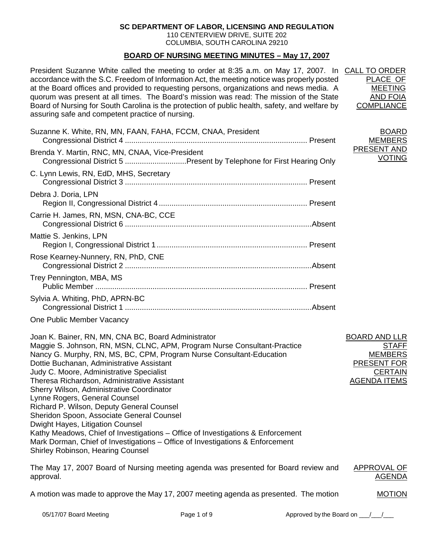# **SC DEPARTMENT OF LABOR, LICENSING AND REGULATION**

110 CENTERVIEW DRIVE, SUITE 202 COLUMBIA, SOUTH CAROLINA 29210

# **BOARD OF NURSING MEETING MINUTES – May 17, 2007**

President Suzanne White called the meeting to order at 8:35 a.m. on May 17, 2007. In CALL TO ORDER accordance with the S.C. Freedom of Information Act, the meeting notice was properly posted at the Board offices and provided to requesting persons, organizations and news media. A quorum was present at all times. The Board's mission was read: The mission of the State Board of Nursing for South Carolina is the protection of public health, safety, and welfare by assuring safe and competent practice of nursing.

Suzanne K. White, RN, MN, FAAN, FAHA, FCCM, CNAA, President Congressional District 4 ...................................................................................... Present Brenda Y. Martin, RNC, MN, CNAA, Vice-President Congressional District 5 .............................Present by Telephone for First Hearing Only C. Lynn Lewis, RN, EdD, MHS, Secretary Congressional District 3 ...................................................................................... Present Debra J. Doria, LPN Region II, Congressional District 4...................................................................... Present Carrie H. James, RN, MSN, CNA-BC, CCE Congressional District 6 ........................................................................................Absent Mattie S. Jenkins, LPN Region I, Congressional District 1....................................................................... Present Rose Kearney-Nunnery, RN, PhD, CNE Congressional District 2 ........................................................................................Absent Trey Pennington, MBA, MS Public Member .................................................................................................... Present Sylvia A. Whiting, PhD, APRN-BC Congressional District 1 ........................................................................................Absent

One Public Member Vacancy

Joan K. Bainer, RN, MN, CNA BC, Board Administrator Maggie S. Johnson, RN, MSN, CLNC, APM, Program Nurse Consultant-Practice Nancy G. Murphy, RN, MS, BC, CPM, Program Nurse Consultant-Education Dottie Buchanan, Administrative Assistant Judy C. Moore, Administrative Specialist Theresa Richardson, Administrative Assistant Sherry Wilson, Administrative Coordinator Lynne Rogers, General Counsel Richard P. Wilson, Deputy General Counsel Sheridon Spoon, Associate General Counsel Dwight Hayes, Litigation Counsel Kathy Meadows, Chief of Investigations – Office of Investigations & Enforcement Mark Dorman, Chief of Investigations – Office of Investigations & Enforcement Shirley Robinson, Hearing Counsel BOARD AND LLR **STAFF** MEMBERS PRESENT FOR **CERTAIN** AGENDA ITEMS

The May 17, 2007 Board of Nursing meeting agenda was presented for Board review and approval. APPROVAL OF **AGENDA** 

A motion was made to approve the May 17, 2007 meeting agenda as presented. The motion

PLACE OF MEETING AND FOIA **COMPLIANCE** 

BOARD MEMBERS PRESENT AND VOTING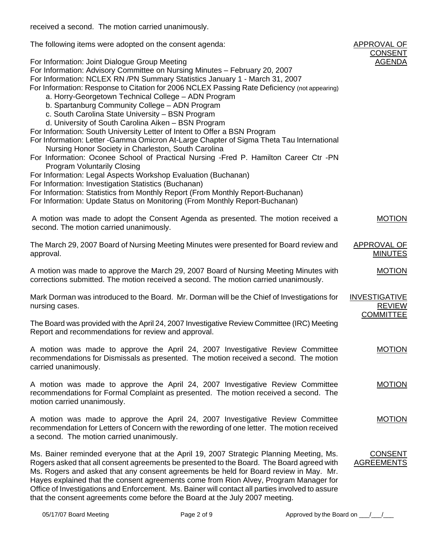received a second. The motion carried unanimously.

| The following items were adopted on the consent agenda:                                                                                                                                                                                                                                                                                                                                                                                                                                                                                                                                                                                                                                                                                                                                                                                                                                                                                                                                                                                                                                                                                                                                | APPROVAL OF<br><b>CONSENT</b>         |
|----------------------------------------------------------------------------------------------------------------------------------------------------------------------------------------------------------------------------------------------------------------------------------------------------------------------------------------------------------------------------------------------------------------------------------------------------------------------------------------------------------------------------------------------------------------------------------------------------------------------------------------------------------------------------------------------------------------------------------------------------------------------------------------------------------------------------------------------------------------------------------------------------------------------------------------------------------------------------------------------------------------------------------------------------------------------------------------------------------------------------------------------------------------------------------------|---------------------------------------|
| For Information: Joint Dialogue Group Meeting<br>For Information: Advisory Committee on Nursing Minutes - February 20, 2007<br>For Information: NCLEX RN /PN Summary Statistics January 1 - March 31, 2007<br>For Information: Response to Citation for 2006 NCLEX Passing Rate Deficiency (not appearing)<br>a. Horry-Georgetown Technical College - ADN Program<br>b. Spartanburg Community College - ADN Program<br>c. South Carolina State University - BSN Program<br>d. University of South Carolina Aiken - BSN Program<br>For Information: South University Letter of Intent to Offer a BSN Program<br>For Information: Letter -Gamma Omicron At-Large Chapter of Sigma Theta Tau International<br>Nursing Honor Society in Charleston, South Carolina<br>For Information: Oconee School of Practical Nursing -Fred P. Hamilton Career Ctr -PN<br><b>Program Voluntarily Closing</b><br>For Information: Legal Aspects Workshop Evaluation (Buchanan)<br>For Information: Investigation Statistics (Buchanan)<br>For Information: Statistics from Monthly Report (From Monthly Report-Buchanan)<br>For Information: Update Status on Monitoring (From Monthly Report-Buchanan) | <b>AGENDA</b>                         |
|                                                                                                                                                                                                                                                                                                                                                                                                                                                                                                                                                                                                                                                                                                                                                                                                                                                                                                                                                                                                                                                                                                                                                                                        |                                       |
| A motion was made to adopt the Consent Agenda as presented. The motion received a<br>second. The motion carried unanimously.                                                                                                                                                                                                                                                                                                                                                                                                                                                                                                                                                                                                                                                                                                                                                                                                                                                                                                                                                                                                                                                           | <b>MOTION</b>                         |
| The March 29, 2007 Board of Nursing Meeting Minutes were presented for Board review and<br>approval.                                                                                                                                                                                                                                                                                                                                                                                                                                                                                                                                                                                                                                                                                                                                                                                                                                                                                                                                                                                                                                                                                   | <b>APPROVAL OF</b><br><b>MINUTES</b>  |
| A motion was made to approve the March 29, 2007 Board of Nursing Meeting Minutes with<br>corrections submitted. The motion received a second. The motion carried unanimously.                                                                                                                                                                                                                                                                                                                                                                                                                                                                                                                                                                                                                                                                                                                                                                                                                                                                                                                                                                                                          | <b>MOTION</b>                         |
| Mark Dorman was introduced to the Board. Mr. Dorman will be the Chief of Investigations for<br>nursing cases.                                                                                                                                                                                                                                                                                                                                                                                                                                                                                                                                                                                                                                                                                                                                                                                                                                                                                                                                                                                                                                                                          | <b>INVESTIGATIVE</b><br><b>REVIEW</b> |
| The Board was provided with the April 24, 2007 Investigative Review Committee (IRC) Meeting<br>Report and recommendations for review and approval.                                                                                                                                                                                                                                                                                                                                                                                                                                                                                                                                                                                                                                                                                                                                                                                                                                                                                                                                                                                                                                     | <b>COMMITTEE</b>                      |
| A motion was made to approve the April 24, 2007 Investigative Review Committee<br>recommendations for Dismissals as presented. The motion received a second. The motion<br>carried unanimously.                                                                                                                                                                                                                                                                                                                                                                                                                                                                                                                                                                                                                                                                                                                                                                                                                                                                                                                                                                                        | <b>MOTION</b>                         |
| A motion was made to approve the April 24, 2007 Investigative Review Committee<br>recommendations for Formal Complaint as presented. The motion received a second. The<br>motion carried unanimously.                                                                                                                                                                                                                                                                                                                                                                                                                                                                                                                                                                                                                                                                                                                                                                                                                                                                                                                                                                                  | <b>MOTION</b>                         |
| A motion was made to approve the April 24, 2007 Investigative Review Committee<br>recommendation for Letters of Concern with the rewording of one letter. The motion received<br>a second. The motion carried unanimously.                                                                                                                                                                                                                                                                                                                                                                                                                                                                                                                                                                                                                                                                                                                                                                                                                                                                                                                                                             | <b>MOTION</b>                         |
| Ms. Bainer reminded everyone that at the April 19, 2007 Strategic Planning Meeting, Ms.<br>Rogers asked that all consent agreements be presented to the Board. The Board agreed with<br>Ms. Rogers and asked that any consent agreements be held for Board review in May. Mr.<br>Hayes explained that the consent agreements come from Rion Alvey, Program Manager for<br>Office of Investigations and Enforcement. Ms. Bainer will contact all parties involved to assure<br>that the consent agreements come before the Board at the July 2007 meeting.                                                                                                                                                                                                                                                                                                                                                                                                                                                                                                                                                                                                                              | <b>CONSENT</b><br><b>AGREEMENTS</b>   |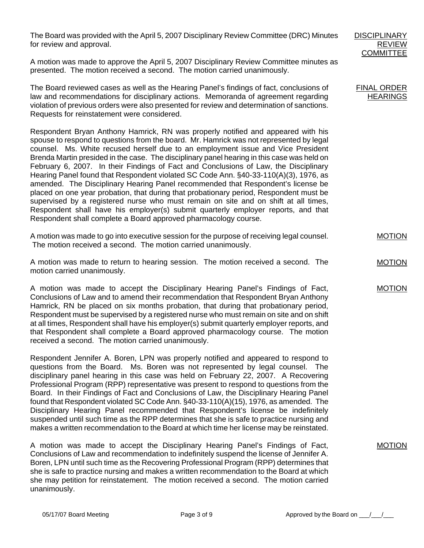The Board was provided with the April 5, 2007 Disciplinary Review Committee (DRC) Minutes for review and approval.

A motion was made to approve the April 5, 2007 Disciplinary Review Committee minutes as presented. The motion received a second. The motion carried unanimously.

The Board reviewed cases as well as the Hearing Panel's findings of fact, conclusions of law and recommendations for disciplinary actions. Memoranda of agreement regarding violation of previous orders were also presented for review and determination of sanctions. Requests for reinstatement were considered.

Respondent Bryan Anthony Hamrick, RN was properly notified and appeared with his spouse to respond to questions from the board. Mr. Hamrick was not represented by legal counsel. Ms. White recused herself due to an employment issue and Vice President Brenda Martin presided in the case. The disciplinary panel hearing in this case was held on February 6, 2007. In their Findings of Fact and Conclusions of Law, the Disciplinary Hearing Panel found that Respondent violated SC Code Ann. §40-33-110(A)(3), 1976, as amended. The Disciplinary Hearing Panel recommended that Respondent's license be placed on one year probation, that during that probationary period, Respondent must be supervised by a registered nurse who must remain on site and on shift at all times, Respondent shall have his employer(s) submit quarterly employer reports, and that Respondent shall complete a Board approved pharmacology course.

A motion was made to go into executive session for the purpose of receiving legal counsel. The motion received a second. The motion carried unanimously.

A motion was made to return to hearing session. The motion received a second. The motion carried unanimously.

A motion was made to accept the Disciplinary Hearing Panel's Findings of Fact, Conclusions of Law and to amend their recommendation that Respondent Bryan Anthony Hamrick, RN be placed on six months probation, that during that probationary period, Respondent must be supervised by a registered nurse who must remain on site and on shift at all times, Respondent shall have his employer(s) submit quarterly employer reports, and that Respondent shall complete a Board approved pharmacology course. The motion received a second. The motion carried unanimously.

Respondent Jennifer A. Boren, LPN was properly notified and appeared to respond to questions from the Board. Ms. Boren was not represented by legal counsel. The disciplinary panel hearing in this case was held on February 22, 2007. A Recovering Professional Program (RPP) representative was present to respond to questions from the Board. In their Findings of Fact and Conclusions of Law, the Disciplinary Hearing Panel found that Respondent violated SC Code Ann. §40-33-110(A)(15), 1976, as amended. The Disciplinary Hearing Panel recommended that Respondent's license be indefinitely suspended until such time as the RPP determines that she is safe to practice nursing and makes a written recommendation to the Board at which time her license may be reinstated.

A motion was made to accept the Disciplinary Hearing Panel's Findings of Fact, Conclusions of Law and recommendation to indefinitely suspend the license of Jennifer A. Boren, LPN until such time as the Recovering Professional Program (RPP) determines that she is safe to practice nursing and makes a written recommendation to the Board at which she may petition for reinstatement. The motion received a second. The motion carried unanimously.

FINAL ORDER **HEARINGS** 

**MOTION** 

MOTION

MOTION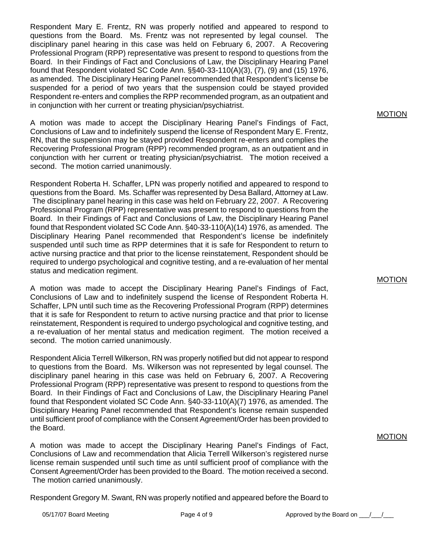Respondent Mary E. Frentz, RN was properly notified and appeared to respond to questions from the Board. Ms. Frentz was not represented by legal counsel. The disciplinary panel hearing in this case was held on February 6, 2007. A Recovering Professional Program (RPP) representative was present to respond to questions from the Board. In their Findings of Fact and Conclusions of Law, the Disciplinary Hearing Panel found that Respondent violated SC Code Ann. §§40-33-110(A)(3), (7), (9) and (15) 1976, as amended. The Disciplinary Hearing Panel recommended that Respondent's license be suspended for a period of two years that the suspension could be stayed provided Respondent re-enters and complies the RPP recommended program, as an outpatient and in conjunction with her current or treating physician/psychiatrist.

A motion was made to accept the Disciplinary Hearing Panel's Findings of Fact, Conclusions of Law and to indefinitely suspend the license of Respondent Mary E. Frentz, RN, that the suspension may be stayed provided Respondent re-enters and complies the Recovering Professional Program (RPP) recommended program, as an outpatient and in conjunction with her current or treating physician/psychiatrist. The motion received a second. The motion carried unanimously.

Respondent Roberta H. Schaffer, LPN was properly notified and appeared to respond to questions from the Board. Ms. Schaffer was represented by Desa Ballard, Attorney at Law. The disciplinary panel hearing in this case was held on February 22, 2007. A Recovering Professional Program (RPP) representative was present to respond to questions from the Board. In their Findings of Fact and Conclusions of Law, the Disciplinary Hearing Panel found that Respondent violated SC Code Ann. §40-33-110(A)(14) 1976, as amended. The Disciplinary Hearing Panel recommended that Respondent's license be indefinitely suspended until such time as RPP determines that it is safe for Respondent to return to active nursing practice and that prior to the license reinstatement, Respondent should be required to undergo psychological and cognitive testing, and a re-evaluation of her mental status and medication regiment.

A motion was made to accept the Disciplinary Hearing Panel's Findings of Fact, Conclusions of Law and to indefinitely suspend the license of Respondent Roberta H. Schaffer, LPN until such time as the Recovering Professional Program (RPP) determines that it is safe for Respondent to return to active nursing practice and that prior to license reinstatement, Respondent is required to undergo psychological and cognitive testing, and a re-evaluation of her mental status and medication regiment. The motion received a second. The motion carried unanimously.

Respondent Alicia Terrell Wilkerson, RN was properly notified but did not appear to respond to questions from the Board. Ms. Wilkerson was not represented by legal counsel. The disciplinary panel hearing in this case was held on February 6, 2007. A Recovering Professional Program (RPP) representative was present to respond to questions from the Board. In their Findings of Fact and Conclusions of Law, the Disciplinary Hearing Panel found that Respondent violated SC Code Ann. §40-33-110(A)(7) 1976, as amended. The Disciplinary Hearing Panel recommended that Respondent's license remain suspended until sufficient proof of compliance with the Consent Agreement/Order has been provided to the Board.

A motion was made to accept the Disciplinary Hearing Panel's Findings of Fact, Conclusions of Law and recommendation that Alicia Terrell Wilkerson's registered nurse license remain suspended until such time as until sufficient proof of compliance with the Consent Agreement/Order has been provided to the Board. The motion received a second. The motion carried unanimously.

Respondent Gregory M. Swant, RN was properly notified and appeared before the Board to

MOTION

MOTION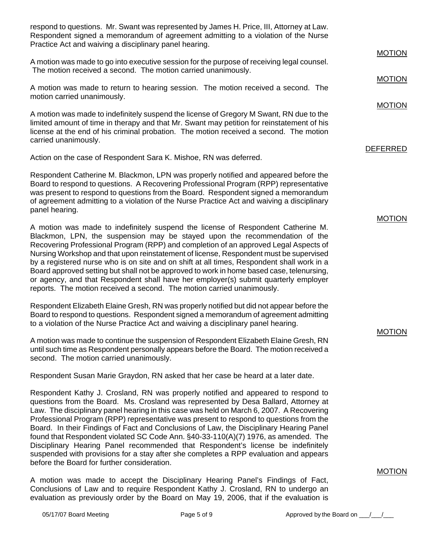respond to questions. Mr. Swant was represented by James H. Price, III, Attorney at Law. Respondent signed a memorandum of agreement admitting to a violation of the Nurse Practice Act and waiving a disciplinary panel hearing.

A motion was made to go into executive session for the purpose of receiving legal counsel. The motion received a second. The motion carried unanimously. A motion was made to return to hearing session. The motion received a second. The motion carried unanimously. **MOTION** MOTION

A motion was made to indefinitely suspend the license of Gregory M Swant, RN due to the limited amount of time in therapy and that Mr. Swant may petition for reinstatement of his license at the end of his criminal probation. The motion received a second. The motion carried unanimously.

Action on the case of Respondent Sara K. Mishoe, RN was deferred.

Respondent Catherine M. Blackmon, LPN was properly notified and appeared before the Board to respond to questions. A Recovering Professional Program (RPP) representative was present to respond to questions from the Board. Respondent signed a memorandum of agreement admitting to a violation of the Nurse Practice Act and waiving a disciplinary panel hearing.

A motion was made to indefinitely suspend the license of Respondent Catherine M. Blackmon, LPN, the suspension may be stayed upon the recommendation of the Recovering Professional Program (RPP) and completion of an approved Legal Aspects of Nursing Workshop and that upon reinstatement of license, Respondent must be supervised by a registered nurse who is on site and on shift at all times, Respondent shall work in a Board approved setting but shall not be approved to work in home based case, telenursing, or agency, and that Respondent shall have her employer(s) submit quarterly employer reports. The motion received a second. The motion carried unanimously.

Respondent Elizabeth Elaine Gresh, RN was properly notified but did not appear before the Board to respond to questions. Respondent signed a memorandum of agreement admitting to a violation of the Nurse Practice Act and waiving a disciplinary panel hearing.

A motion was made to continue the suspension of Respondent Elizabeth Elaine Gresh, RN until such time as Respondent personally appears before the Board. The motion received a second. The motion carried unanimously.

Respondent Susan Marie Graydon, RN asked that her case be heard at a later date.

Respondent Kathy J. Crosland, RN was properly notified and appeared to respond to questions from the Board. Ms. Crosland was represented by Desa Ballard, Attorney at Law. The disciplinary panel hearing in this case was held on March 6, 2007. A Recovering Professional Program (RPP) representative was present to respond to questions from the Board. In their Findings of Fact and Conclusions of Law, the Disciplinary Hearing Panel found that Respondent violated SC Code Ann. §40-33-110(A)(7) 1976, as amended. The Disciplinary Hearing Panel recommended that Respondent's license be indefinitely suspended with provisions for a stay after she completes a RPP evaluation and appears before the Board for further consideration.

A motion was made to accept the Disciplinary Hearing Panel's Findings of Fact, Conclusions of Law and to require Respondent Kathy J. Crosland, RN to undergo an evaluation as previously order by the Board on May 19, 2006, that if the evaluation is MOTION

MOTION

DEFERRED

MOTION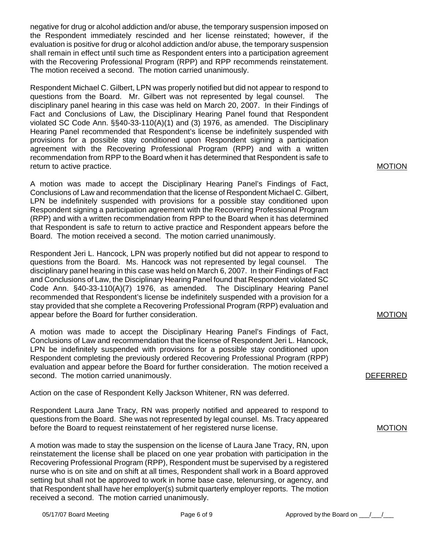negative for drug or alcohol addiction and/or abuse, the temporary suspension imposed on the Respondent immediately rescinded and her license reinstated; however, if the evaluation is positive for drug or alcohol addiction and/or abuse, the temporary suspension shall remain in effect until such time as Respondent enters into a participation agreement with the Recovering Professional Program (RPP) and RPP recommends reinstatement. The motion received a second. The motion carried unanimously.

Respondent Michael C. Gilbert, LPN was properly notified but did not appear to respond to questions from the Board. Mr. Gilbert was not represented by legal counsel. The disciplinary panel hearing in this case was held on March 20, 2007. In their Findings of Fact and Conclusions of Law, the Disciplinary Hearing Panel found that Respondent violated SC Code Ann. §§40-33-110(A)(1) and (3) 1976, as amended. The Disciplinary Hearing Panel recommended that Respondent's license be indefinitely suspended with provisions for a possible stay conditioned upon Respondent signing a participation agreement with the Recovering Professional Program (RPP) and with a written recommendation from RPP to the Board when it has determined that Respondent is safe to return to active practice.

A motion was made to accept the Disciplinary Hearing Panel's Findings of Fact, Conclusions of Law and recommendation that the license of Respondent Michael C. Gilbert, LPN be indefinitely suspended with provisions for a possible stay conditioned upon Respondent signing a participation agreement with the Recovering Professional Program (RPP) and with a written recommendation from RPP to the Board when it has determined that Respondent is safe to return to active practice and Respondent appears before the Board. The motion received a second. The motion carried unanimously.

Respondent Jeri L. Hancock, LPN was properly notified but did not appear to respond to questions from the Board. Ms. Hancock was not represented by legal counsel. The disciplinary panel hearing in this case was held on March 6, 2007. In their Findings of Fact and Conclusions of Law, the Disciplinary Hearing Panel found that Respondent violated SC Code Ann. §40-33-110(A)(7) 1976, as amended. The Disciplinary Hearing Panel recommended that Respondent's license be indefinitely suspended with a provision for a stay provided that she complete a Recovering Professional Program (RPP) evaluation and appear before the Board for further consideration.

A motion was made to accept the Disciplinary Hearing Panel's Findings of Fact, Conclusions of Law and recommendation that the license of Respondent Jeri L. Hancock, LPN be indefinitely suspended with provisions for a possible stay conditioned upon Respondent completing the previously ordered Recovering Professional Program (RPP) evaluation and appear before the Board for further consideration. The motion received a second. The motion carried unanimously.

Action on the case of Respondent Kelly Jackson Whitener, RN was deferred.

Respondent Laura Jane Tracy, RN was properly notified and appeared to respond to questions from the Board. She was not represented by legal counsel. Ms. Tracy appeared before the Board to request reinstatement of her registered nurse license.

A motion was made to stay the suspension on the license of Laura Jane Tracy, RN, upon reinstatement the license shall be placed on one year probation with participation in the Recovering Professional Program (RPP), Respondent must be supervised by a registered nurse who is on site and on shift at all times, Respondent shall work in a Board approved setting but shall not be approved to work in home base case, telenursing, or agency, and that Respondent shall have her employer(s) submit quarterly employer reports. The motion received a second. The motion carried unanimously.

MOTION

MOTION

MOTION

DEFERRED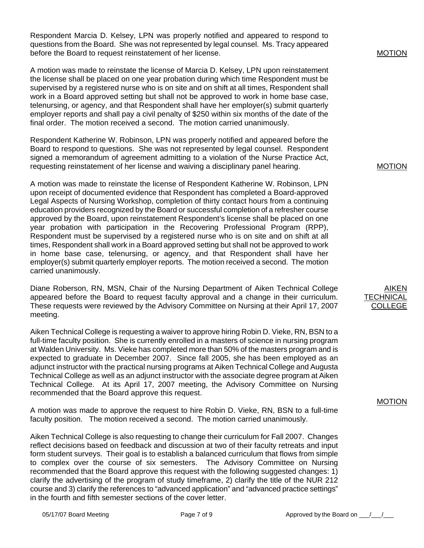Respondent Marcia D. Kelsey, LPN was properly notified and appeared to respond to questions from the Board. She was not represented by legal counsel. Ms. Tracy appeared before the Board to request reinstatement of her license.

A motion was made to reinstate the license of Marcia D. Kelsey, LPN upon reinstatement the license shall be placed on one year probation during which time Respondent must be supervised by a registered nurse who is on site and on shift at all times, Respondent shall work in a Board approved setting but shall not be approved to work in home base case, telenursing, or agency, and that Respondent shall have her employer(s) submit quarterly employer reports and shall pay a civil penalty of \$250 within six months of the date of the final order. The motion received a second. The motion carried unanimously.

Respondent Katherine W. Robinson, LPN was properly notified and appeared before the Board to respond to questions. She was not represented by legal counsel. Respondent signed a memorandum of agreement admitting to a violation of the Nurse Practice Act, requesting reinstatement of her license and waiving a disciplinary panel hearing.

A motion was made to reinstate the license of Respondent Katherine W. Robinson, LPN upon receipt of documented evidence that Respondent has completed a Board-approved Legal Aspects of Nursing Workshop, completion of thirty contact hours from a continuing education providers recognized by the Board or successful completion of a refresher course approved by the Board, upon reinstatement Respondent's license shall be placed on one year probation with participation in the Recovering Professional Program (RPP), Respondent must be supervised by a registered nurse who is on site and on shift at all times, Respondent shall work in a Board approved setting but shall not be approved to work in home base case, telenursing, or agency, and that Respondent shall have her employer(s) submit quarterly employer reports. The motion received a second. The motion carried unanimously.

Diane Roberson, RN, MSN, Chair of the Nursing Department of Aiken Technical College appeared before the Board to request faculty approval and a change in their curriculum. These requests were reviewed by the Advisory Committee on Nursing at their April 17, 2007 meeting.

Aiken Technical College is requesting a waiver to approve hiring Robin D. Vieke, RN, BSN to a full-time faculty position. She is currently enrolled in a masters of science in nursing program at Walden University. Ms. Vieke has completed more than 50% of the masters program and is expected to graduate in December 2007. Since fall 2005, she has been employed as an adjunct instructor with the practical nursing programs at Aiken Technical College and Augusta Technical College as well as an adjunct instructor with the associate degree program at Aiken Technical College. At its April 17, 2007 meeting, the Advisory Committee on Nursing recommended that the Board approve this request.

A motion was made to approve the request to hire Robin D. Vieke, RN, BSN to a full-time faculty position. The motion received a second. The motion carried unanimously.

Aiken Technical College is also requesting to change their curriculum for Fall 2007. Changes reflect decisions based on feedback and discussion at two of their faculty retreats and input form student surveys. Their goal is to establish a balanced curriculum that flows from simple to complex over the course of six semesters. The Advisory Committee on Nursing recommended that the Board approve this request with the following suggested changes: 1) clarify the advertising of the program of study timeframe, 2) clarify the title of the NUR 212 course and 3) clarify the references to "advanced application" and "advanced practice settings" in the fourth and fifth semester sections of the cover letter.

#### MOTION

MOTION

AIKEN TECHNIC COLLEGE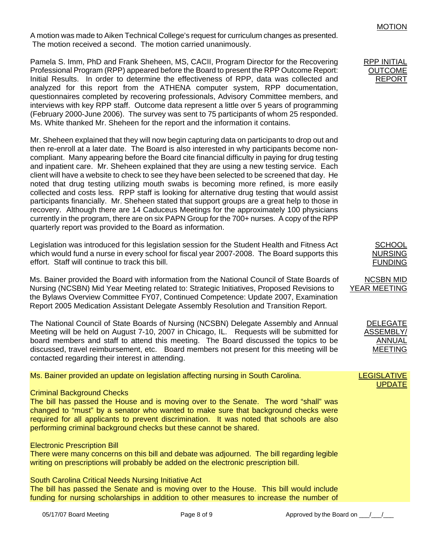A motion was made to Aiken Technical College's request for curriculum changes as presented. The motion received a second. The motion carried unanimously.

Pamela S. Imm, PhD and Frank Sheheen, MS, CACII, Program Director for the Recovering Professional Program (RPP) appeared before the Board to present the RPP Outcome Report: Initial Results. In order to determine the effectiveness of RPP, data was collected and analyzed for this report from the ATHENA computer system, RPP documentation, questionnaires completed by recovering professionals, Advisory Committee members, and interviews with key RPP staff. Outcome data represent a little over 5 years of programming (February 2000-June 2006). The survey was sent to 75 participants of whom 25 responded. Ms. White thanked Mr. Sheheen for the report and the information it contains.

Mr. Sheheen explained that they will now begin capturing data on participants to drop out and then re-enroll at a later date. The Board is also interested in why participants become noncompliant. Many appearing before the Board cite financial difficulty in paying for drug testing and inpatient care. Mr. Sheheen explained that they are using a new testing service. Each client will have a website to check to see they have been selected to be screened that day. He noted that drug testing utilizing mouth swabs is becoming more refined, is more easily collected and costs less. RPP staff is looking for alternative drug testing that would assist participants financially. Mr. Sheheen stated that support groups are a great help to those in recovery. Although there are 14 Caduceus Meetings for the approximately 100 physicians currently in the program, there are on six PAPN Group for the 700+ nurses. A copy of the RPP quarterly report was provided to the Board as information.

Legislation was introduced for this legislation session for the Student Health and Fitness Act which would fund a nurse in every school for fiscal year 2007-2008. The Board supports this effort. Staff will continue to track this bill.

Ms. Bainer provided the Board with information from the National Council of State Boards of Nursing (NCSBN) Mid Year Meeting related to: Strategic Initiatives, Proposed Revisions to the Bylaws Overview Committee FY07, Continued Competence: Update 2007, Examination Report 2005 Medication Assistant Delegate Assembly Resolution and Transition Report.

The National Council of State Boards of Nursing (NCSBN) Delegate Assembly and Annual Meeting will be held on August 7-10, 2007 in Chicago, IL. Requests will be submitted for board members and staff to attend this meeting. The Board discussed the topics to be discussed, travel reimbursement, etc. Board members not present for this meeting will be contacted regarding their interest in attending.

#### Ms. Bainer provided an update on legislation affecting nursing in South Carolina.

#### Criminal Background Checks

The bill has passed the House and is moving over to the Senate. The word "shall" was changed to "must" by a senator who wanted to make sure that background checks were required for all applicants to prevent discrimination. It was noted that schools are also performing criminal background checks but these cannot be shared.

#### Electronic Prescription Bill

There were many concerns on this bill and debate was adjourned. The bill regarding legible writing on prescriptions will probably be added on the electronic prescription bill.

#### South Carolina Critical Needs Nursing Initiative Act

The bill has passed the Senate and is moving over to the House. This bill would include funding for nursing scholarships in addition to other measures to increase the number of

# MOTION

#### RPP INITIAL OUTCOME REPORT

# **SCHOOL** NURSING **FUNDING**

# NCSBN MID YEAR MEETING

DELEGATE ASSEMBLY/ ANNUAL MEETING

### **LEGISLATIVE** UPDATE